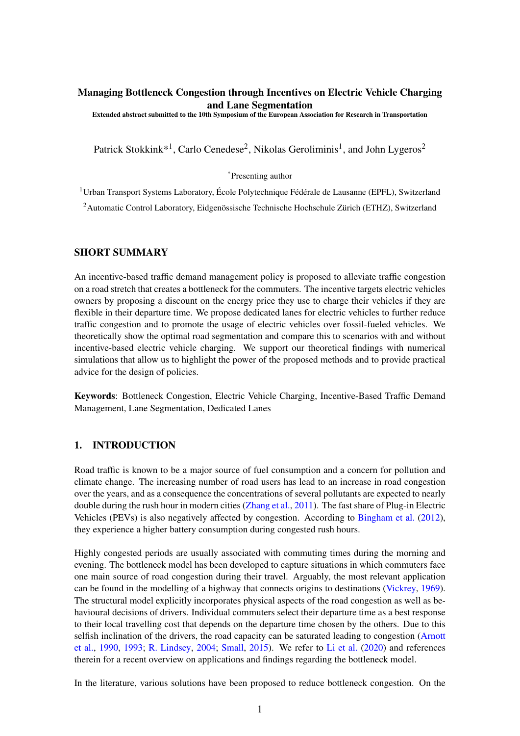## Managing Bottleneck Congestion through Incentives on Electric Vehicle Charging and Lane Segmentation

Extended abstract submitted to the 10th Symposium of the European Association for Research in Transportation

Patrick Stokkink\*<sup>1</sup>, Carlo Cenedese<sup>2</sup>, Nikolas Geroliminis<sup>1</sup>, and John Lygeros<sup>2</sup>

\*Presenting author

<sup>1</sup> Urban Transport Systems Laboratory, École Polytechnique Fédérale de Lausanne (EPFL), Switzerland <sup>2</sup>Automatic Control Laboratory, Eidgenössische Technische Hochschule Zürich (ETHZ), Switzerland

## SHORT SUMMARY

An incentive-based traffic demand management policy is proposed to alleviate traffic congestion on a road stretch that creates a bottleneck for the commuters. The incentive targets electric vehicles owners by proposing a discount on the energy price they use to charge their vehicles if they are flexible in their departure time. We propose dedicated lanes for electric vehicles to further reduce traffic congestion and to promote the usage of electric vehicles over fossil-fueled vehicles. We theoretically show the optimal road segmentation and compare this to scenarios with and without incentive-based electric vehicle charging. We support our theoretical findings with numerical simulations that allow us to highlight the power of the proposed methods and to provide practical advice for the design of policies.

Keywords: Bottleneck Congestion, Electric Vehicle Charging, Incentive-Based Traffic Demand Management, Lane Segmentation, Dedicated Lanes

# 1. INTRODUCTION

Road traffic is known to be a major source of fuel consumption and a concern for pollution and climate change. The increasing number of road users has lead to an increase in road congestion over the years, and as a consequence the concentrations of several pollutants are expected to nearly double during the rush hour in modern cities [\(Zhang et al.,](#page-8-0) [2011\)](#page-8-0). The fast share of Plug-in Electric Vehicles (PEVs) is also negatively affected by congestion. According to [Bingham et al.](#page-7-0) [\(2012\)](#page-7-0), they experience a higher battery consumption during congested rush hours.

Highly congested periods are usually associated with commuting times during the morning and evening. The bottleneck model has been developed to capture situations in which commuters face one main source of road congestion during their travel. Arguably, the most relevant application can be found in the modelling of a highway that connects origins to destinations [\(Vickrey,](#page-8-1) [1969\)](#page-8-1). The structural model explicitly incorporates physical aspects of the road congestion as well as behavioural decisions of drivers. Individual commuters select their departure time as a best response to their local travelling cost that depends on the departure time chosen by the others. Due to this selfish inclination of the drivers, the road capacity can be saturated leading to congestion [\(Arnott](#page-7-1) [et al.,](#page-7-1) [1990,](#page-7-1) [1993;](#page-7-2) [R. Lindsey,](#page-8-2) [2004;](#page-8-2) [Small,](#page-8-3) [2015\)](#page-8-3). We refer to [Li et al.](#page-8-4) [\(2020\)](#page-8-4) and references therein for a recent overview on applications and findings regarding the bottleneck model.

In the literature, various solutions have been proposed to reduce bottleneck congestion. On the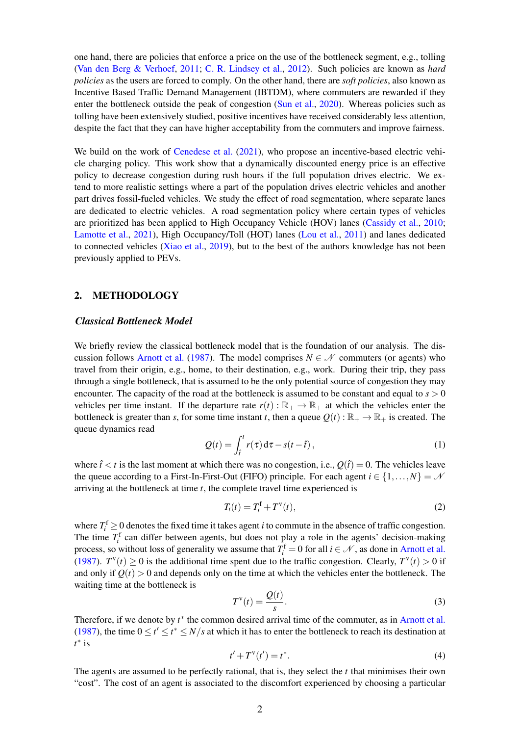one hand, there are policies that enforce a price on the use of the bottleneck segment, e.g., tolling [\(Van den Berg & Verhoef,](#page-8-5) [2011;](#page-8-5) [C. R. Lindsey et al.,](#page-8-6) [2012\)](#page-8-6). Such policies are known as *hard policies* as the users are forced to comply. On the other hand, there are *soft policies*, also known as Incentive Based Traffic Demand Management (IBTDM), where commuters are rewarded if they enter the bottleneck outside the peak of congestion [\(Sun et al.,](#page-8-7) [2020\)](#page-8-7). Whereas policies such as tolling have been extensively studied, positive incentives have received considerably less attention, despite the fact that they can have higher acceptability from the commuters and improve fairness.

We build on the work of [Cenedese et al.](#page-8-8) [\(2021\)](#page-8-8), who propose an incentive-based electric vehicle charging policy. This work show that a dynamically discounted energy price is an effective policy to decrease congestion during rush hours if the full population drives electric. We extend to more realistic settings where a part of the population drives electric vehicles and another part drives fossil-fueled vehicles. We study the effect of road segmentation, where separate lanes are dedicated to electric vehicles. A road segmentation policy where certain types of vehicles are prioritized has been applied to High Occupancy Vehicle (HOV) lanes [\(Cassidy et al.,](#page-7-3) [2010;](#page-7-3) [Lamotte et al.,](#page-8-9) [2021\)](#page-8-9), High Occupancy/Toll (HOT) lanes [\(Lou et al.,](#page-8-10) [2011\)](#page-8-10) and lanes dedicated to connected vehicles [\(Xiao et al.,](#page-8-11) [2019\)](#page-8-11), but to the best of the authors knowledge has not been previously applied to PEVs.

### 2. METHODOLOGY

#### *Classical Bottleneck Model*

We briefly review the classical bottleneck model that is the foundation of our analysis. The dis-cussion follows [Arnott et al.](#page-7-4) [\(1987\)](#page-7-4). The model comprises  $N \in \mathcal{N}$  commuters (or agents) who travel from their origin, e.g., home, to their destination, e.g., work. During their trip, they pass through a single bottleneck, that is assumed to be the only potential source of congestion they may encounter. The capacity of the road at the bottleneck is assumed to be constant and equal to  $s > 0$ vehicles per time instant. If the departure rate  $r(t): \mathbb{R}_+ \to \mathbb{R}_+$  at which the vehicles enter the bottleneck is greater than *s*, for some time instant *t*, then a queue  $O(t): \mathbb{R}_+ \to \mathbb{R}_+$  is created. The queue dynamics read

$$
Q(t) = \int_{\hat{t}}^{t} r(\tau) d\tau - s(t - \hat{t}),
$$
\n(1)

where  $\hat{t} < t$  is the last moment at which there was no congestion, i.e.,  $O(\hat{t}) = 0$ . The vehicles leave the queue according to a First-In-First-Out (FIFO) principle. For each agent  $i \in \{1, ..., N\} = \mathcal{N}$ arriving at the bottleneck at time *t*, the complete travel time experienced is

$$
T_i(t) = T_i^{\text{f}} + T^{\text{v}}(t),\tag{2}
$$

where  $T_i^f \geq 0$  denotes the fixed time it takes agent *i* to commute in the absence of traffic congestion. The time  $T_i^f$  can differ between agents, but does not play a role in the agents' decision-making process, so without loss of generality we assume that  $T_i^f = 0$  for all  $i \in \mathcal{N}$ , as done in [Arnott et al.](#page-7-4) [\(1987\)](#page-7-4).  $T^{\nu}(t) \ge 0$  is the additional time spent due to the traffic congestion. Clearly,  $T^{\nu}(t) > 0$  if and only if  $Q(t) > 0$  and depends only on the time at which the vehicles enter the bottleneck. The waiting time at the bottleneck is

$$
T^{\mathrm{v}}(t) = \frac{\mathcal{Q}(t)}{s}.\tag{3}
$$

Therefore, if we denote by  $t^*$  the common desired arrival time of the commuter, as in [Arnott et al.](#page-7-4) [\(1987\)](#page-7-4), the time  $0 \le t' \le t^* \le N/s$  at which it has to enter the bottleneck to reach its destination at *t* ∗ is

$$
t' + T^{\nu}(t') = t^*.
$$
 (4)

The agents are assumed to be perfectly rational, that is, they select the *t* that minimises their own "cost". The cost of an agent is associated to the discomfort experienced by choosing a particular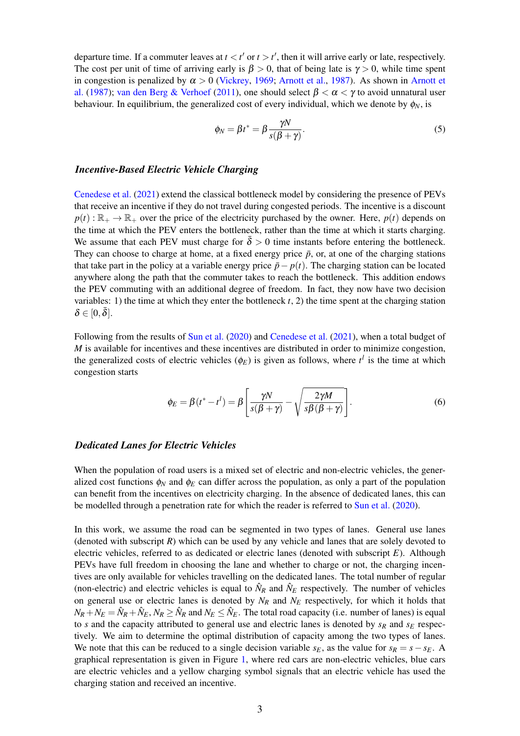departure time. If a commuter leaves at  $t < t'$  or  $t > t'$ , then it will arrive early or late, respectively. The cost per unit of time of arriving early is  $\beta > 0$ , that of being late is  $\gamma > 0$ , while time spent in congestion is penalized by  $\alpha > 0$  [\(Vickrey,](#page-8-1) [1969;](#page-8-1) [Arnott et al.,](#page-7-4) [1987\)](#page-7-4). As shown in [Arnott et](#page-7-4) [al.](#page-7-4) [\(1987\)](#page-7-4); [van den Berg & Verhoef](#page-8-12) [\(2011\)](#page-8-12), one should select  $\beta < \alpha < \gamma$  to avoid unnatural user behaviour. In equilibrium, the generalized cost of every individual, which we denote by  $\phi_N$ , is

$$
\phi_N = \beta t^* = \beta \frac{\gamma N}{s(\beta + \gamma)}.
$$
\n(5)

### *Incentive-Based Electric Vehicle Charging*

[Cenedese et al.](#page-8-8) [\(2021\)](#page-8-8) extend the classical bottleneck model by considering the presence of PEVs that receive an incentive if they do not travel during congested periods. The incentive is a discount  $p(t): \mathbb{R}_+ \to \mathbb{R}_+$  over the price of the electricity purchased by the owner. Here,  $p(t)$  depends on the time at which the PEV enters the bottleneck, rather than the time at which it starts charging. We assume that each PEV must charge for  $\bar{\delta} > 0$  time instants before entering the bottleneck. They can choose to charge at home, at a fixed energy price  $\bar{p}$ , or, at one of the charging stations that take part in the policy at a variable energy price  $\bar{p} - p(t)$ . The charging station can be located anywhere along the path that the commuter takes to reach the bottleneck. This addition endows the PEV commuting with an additional degree of freedom. In fact, they now have two decision variables: 1) the time at which they enter the bottleneck  $t$ , 2) the time spent at the charging station  $\delta \in [0,\bar{\delta}].$ 

Following from the results of [Sun et al.](#page-8-7) [\(2020\)](#page-8-7) and [Cenedese et al.](#page-8-8) [\(2021\)](#page-8-8), when a total budget of *M* is available for incentives and these incentives are distributed in order to minimize congestion, the generalized costs of electric vehicles  $(\phi_E)$  is given as follows, where  $t^l$  is the time at which congestion starts

$$
\phi_E = \beta(t^* - t^l) = \beta \left[ \frac{\gamma N}{s(\beta + \gamma)} - \sqrt{\frac{2\gamma M}{s\beta(\beta + \gamma)}} \right].
$$
\n(6)

#### *Dedicated Lanes for Electric Vehicles*

When the population of road users is a mixed set of electric and non-electric vehicles, the generalized cost functions  $\phi_N$  and  $\phi_E$  can differ across the population, as only a part of the population can benefit from the incentives on electricity charging. In the absence of dedicated lanes, this can be modelled through a penetration rate for which the reader is referred to [Sun et al.](#page-8-7) [\(2020\)](#page-8-7).

In this work, we assume the road can be segmented in two types of lanes. General use lanes (denoted with subscript *R*) which can be used by any vehicle and lanes that are solely devoted to electric vehicles, referred to as dedicated or electric lanes (denoted with subscript *E*). Although PEVs have full freedom in choosing the lane and whether to charge or not, the charging incentives are only available for vehicles travelling on the dedicated lanes. The total number of regular (non-electric) and electric vehicles is equal to  $\hat{N}_R$  and  $\hat{N}_E$  respectively. The number of vehicles on general use or electric lanes is denoted by  $N_R$  and  $N_E$  respectively, for which it holds that  $N_R + N_E = \hat{N}_R + \hat{N}_E$ ,  $N_R \ge \hat{N}_R$  and  $N_E \le \hat{N}_E$ . The total road capacity (i.e. number of lanes) is equal to *s* and the capacity attributed to general use and electric lanes is denoted by  $s_R$  and  $s_E$  respectively. We aim to determine the optimal distribution of capacity among the two types of lanes. We note that this can be reduced to a single decision variable  $s_E$ , as the value for  $s_R = s - s_E$ . A graphical representation is given in Figure [1,](#page-3-0) where red cars are non-electric vehicles, blue cars are electric vehicles and a yellow charging symbol signals that an electric vehicle has used the charging station and received an incentive.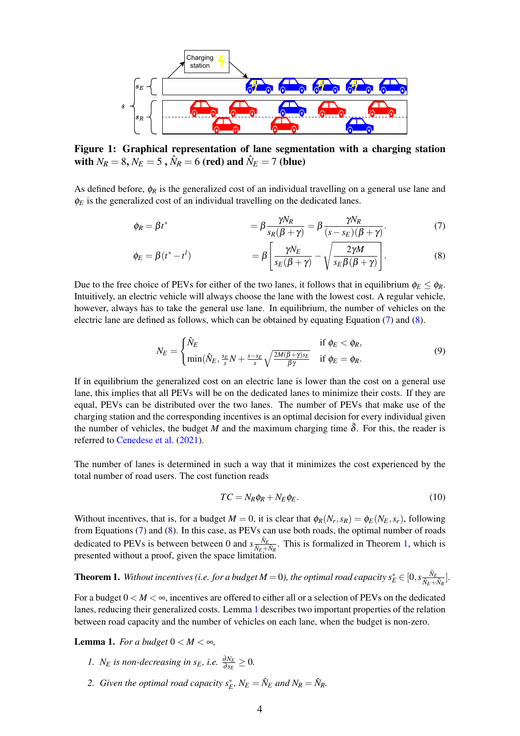<span id="page-3-0"></span>

Figure 1: Graphical representation of lane segmentation with a charging station with  $N_R = 8$ ,  $N_E = 5$  ,  $\hat{N}_R = 6$  (red) and  $\hat{N}_E = 7$  (blue)

As defined before,  $\phi_R$  is the generalized cost of an individual travelling on a general use lane and  $\phi_E$  is the generalized cost of an individual travelling on the dedicated lanes.

<span id="page-3-1"></span>
$$
\phi_R = \beta t^* \qquad \qquad = \beta \frac{\gamma N_R}{s_R(\beta + \gamma)} = \beta \frac{\gamma N_R}{(s - s_E)(\beta + \gamma)}.
$$
\n(7)

$$
\phi_E = \beta(t^* - t^l) \qquad \qquad = \beta \left[ \frac{\gamma N_E}{s_E(\beta + \gamma)} - \sqrt{\frac{2\gamma M}{s_E \beta(\beta + \gamma)}} \right]. \tag{8}
$$

Due to the free choice of PEVs for either of the two lanes, it follows that in equilibrium  $\phi_E \leq \phi_R$ . Intuitively, an electric vehicle will always choose the lane with the lowest cost. A regular vehicle, however, always has to take the general use lane. In equilibrium, the number of vehicles on the electric lane are defined as follows, which can be obtained by equating Equation [\(7\)](#page-3-1) and [\(8\)](#page-3-2).

<span id="page-3-2"></span>
$$
N_E = \begin{cases} \hat{N}_E & \text{if } \phi_E < \phi_R, \\ \min(\hat{N}_E, \frac{s_E}{s} N + \frac{s - s_E}{s} \sqrt{\frac{2M(\beta + \gamma)s_E}{\beta \gamma}} & \text{if } \phi_E = \phi_R. \end{cases}
$$
(9)

If in equilibrium the generalized cost on an electric lane is lower than the cost on a general use lane, this implies that all PEVs will be on the dedicated lanes to minimize their costs. If they are equal, PEVs can be distributed over the two lanes. The number of PEVs that make use of the charging station and the corresponding incentives is an optimal decision for every individual given the number of vehicles, the budget *M* and the maximum charging time  $\delta$ . For this, the reader is referred to [Cenedese et al.](#page-8-8) [\(2021\)](#page-8-8).

The number of lanes is determined in such a way that it minimizes the cost experienced by the total number of road users. The cost function reads

<span id="page-3-6"></span><span id="page-3-5"></span>
$$
TC = N_R \phi_R + N_E \phi_E. \tag{10}
$$

Without incentives, that is, for a budget  $M = 0$ , it is clear that  $\phi_R(N_r, s_R) = \phi_E(N_E, s_e)$ , following from Equations [\(7\)](#page-3-1) and [\(8\)](#page-3-2). In this case, as PEVs can use both roads, the optimal number of roads dedicated to PEVs is between between 0 and  $s \frac{\hat{N}_E}{\hat{N}_E + \hat{N}_R}$ . This is formalized in Theorem [1,](#page-3-3) which is presented without a proof, given the space limitation.

<span id="page-3-3"></span>**Theorem 1.** Without incentives (i.e. for a budget  $M = 0$ ), the optimal road capacity  $s_E^* \in [0, s \frac{\hat{N}_E}{\hat{N}_E + \hat{N}_R}]$ .

For a budget  $0 \lt M \ll \infty$ , incentives are offered to either all or a selection of PEVs on the dedicated lanes, reducing their generalized costs. Lemma [1](#page-3-4) describes two important properties of the relation between road capacity and the number of vehicles on each lane, when the budget is non-zero.

<span id="page-3-4"></span>**Lemma 1.** For a budget  $0 < M < \infty$ ,

- *1. N<sub>E</sub> is non-decreasing in s<sub>E</sub>, i.e.*  $\frac{\partial N_E}{\partial s_E} \geq 0$ .
- 2. *Given the optimal road capacity*  $s_E^*$ ,  $N_E = \hat{N}_E$  and  $N_R = \hat{N}_R$ .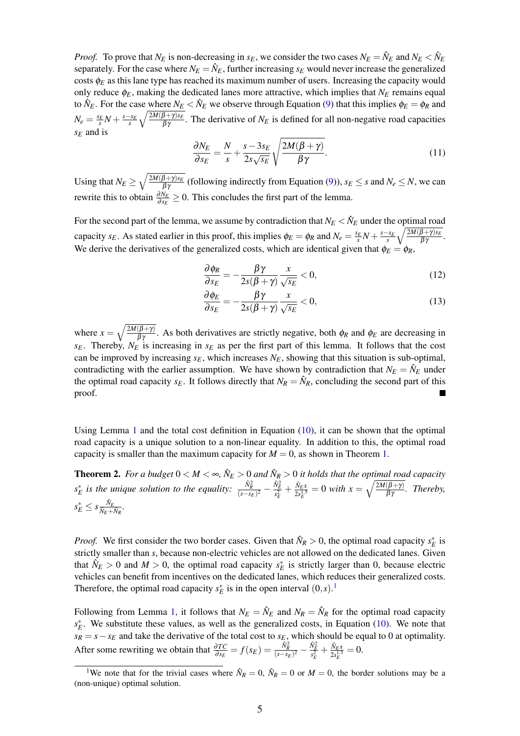*Proof.* To prove that  $N_E$  is non-decreasing in  $s_E$ , we consider the two cases  $N_E = \hat{N}_E$  and  $N_E < \hat{N}_E$ separately. For the case where  $N_E = \hat{N}_E$ , further increasing  $s_E$  would never increase the generalized costs  $\phi_E$  as this lane type has reached its maximum number of users. Increasing the capacity would only reduce  $\phi_E$ , making the dedicated lanes more attractive, which implies that  $N_E$  remains equal to  $\hat{N}_E$ . For the case where  $N_E < \hat{N}_E$  we observe through Equation [\(9\)](#page-3-5) that this implies  $\phi_E = \phi_R$  and  $N_e = \frac{s_E}{s}N + \frac{s - s_E}{s}$  $\sqrt{\frac{2M(\beta+\gamma)s_E}{\beta\gamma}}$ . The derivative of  $N_E$  is defined for all non-negative road capacities *s<sup>E</sup>* and is

$$
\frac{\partial N_E}{\partial s_E} = \frac{N}{s} + \frac{s - 3s_E}{2s\sqrt{s_E}} \sqrt{\frac{2M(\beta + \gamma)}{\beta \gamma}}.
$$
\n(11)

Using that  $N_E \ge \sqrt{\frac{2M(\beta + \gamma)s_E}{\beta\gamma}}$  (following indirectly from Equation [\(9\)](#page-3-5)),  $s_E \le s$  and  $N_e \le N$ , we can rewrite this to obtain  $\frac{\partial N_E}{\partial s_E} \geq 0$ . This concludes the first part of the lemma.

For the second part of the lemma, we assume by contradiction that  $N_E < \hat N_E$  under the optimal road capacity *s*<sub>E</sub>. As stated earlier in this proof, this implies  $\phi_E = \phi_R$  and  $N_e = \frac{s_E}{s}N + \frac{s - s_E}{s}$  $\sqrt{\frac{2M(\beta+\gamma)s_E}{\beta\gamma}}$ . We derive the derivatives of the generalized costs, which are identical given that  $\phi_E = \phi_R$ ,

$$
\frac{\partial \phi_R}{\partial s_E} = -\frac{\beta \gamma}{2s(\beta + \gamma)} \frac{x}{\sqrt{s_E}} < 0,\tag{12}
$$

$$
\frac{\partial \phi_E}{\partial s_E} = -\frac{\beta \gamma}{2s(\beta + \gamma)} \frac{x}{\sqrt{s_E}} < 0,\tag{13}
$$

where  $x = \sqrt{\frac{2M(\beta+\gamma)}{\beta\gamma}}$ . As both derivatives are strictly negative, both  $\phi_R$  and  $\phi_E$  are decreasing in *sE*. Thereby, *N<sup>E</sup>* is increasing in *s<sup>E</sup>* as per the first part of this lemma. It follows that the cost can be improved by increasing  $s_E$ , which increases  $N_E$ , showing that this situation is sub-optimal, contradicting with the earlier assumption. We have shown by contradiction that  $N_E = \hat{N}_E$  under the optimal road capacity  $s_E$ . It follows directly that  $N_R = \hat{N}_R$ , concluding the second part of this proof. **In the Second State** 

Using Lemma [1](#page-3-4) and the total cost definition in Equation  $(10)$ , it can be shown that the optimal road capacity is a unique solution to a non-linear equality. In addition to this, the optimal road capacity is smaller than the maximum capacity for  $M = 0$ , as shown in Theorem [1.](#page-3-3)

**Theorem 2.** For a budget  $0 < M < \infty$ ,  $\hat{N}_E > 0$  and  $\hat{N}_R > 0$  it holds that the optimal road capacity  $s_E^*$  *is the unique solution to the equality:*  $\frac{\hat{N}_R^2}{(s-s_E)^2} - \frac{\hat{N}_E^2}{s_E^2} + \frac{\hat{N}_{E,N}}{2s_E^{1.5}}$  $\frac{\hat{N}_{E}x}{2s_{E}^{1.5}} = 0$  with  $x = \sqrt{\frac{2M(\beta + \gamma)}{\beta \gamma}}$ . Thereby,  $s_E^* \leq s \frac{\hat{N}_E}{\hat{N}_E + \hat{N}_R}.$ 

*Proof.* We first consider the two border cases. Given that  $\hat{N}_R > 0$ , the optimal road capacity  $s_E^*$  is strictly smaller than *s*, because non-electric vehicles are not allowed on the dedicated lanes. Given that  $\hat{N}_E > 0$  and  $M > 0$ , the optimal road capacity  $s_E^*$  is strictly larger than 0, because electric vehicles can benefit from incentives on the dedicated lanes, which reduces their generalized costs. Therefore, the optimal road capacity  $s_E^*$  is in the open interval  $(0, s)$ .<sup>[1](#page-4-0)</sup>

Following from Lemma [1,](#page-3-4) it follows that  $N_E = \hat{N}_E$  and  $N_R = \hat{N}_R$  for the optimal road capacity  $s_E^*$ . We substitute these values, as well as the generalized costs, in Equation [\(10\)](#page-3-6). We note that  $s_R = s - s_E$  and take the derivative of the total cost to  $s_E$ , which should be equal to 0 at optimality. After some rewriting we obtain that  $\frac{\partial TC}{\partial s_E} = f(s_E) = \frac{\hat{N}_E^2}{(s - s_E)^2} - \frac{\hat{N}_E^2}{s_E^2} + \frac{\hat{N}_{E}x_E}{2s_E^{1.5}}$  $\frac{N_{E}x}{2s_{E}^{1.5}}=0.$ 

<span id="page-4-0"></span><sup>&</sup>lt;sup>1</sup>We note that for the trivial cases where  $\hat{N}_R = 0$ ,  $\hat{N}_R = 0$  or  $M = 0$ , the border solutions may be a (non-unique) optimal solution.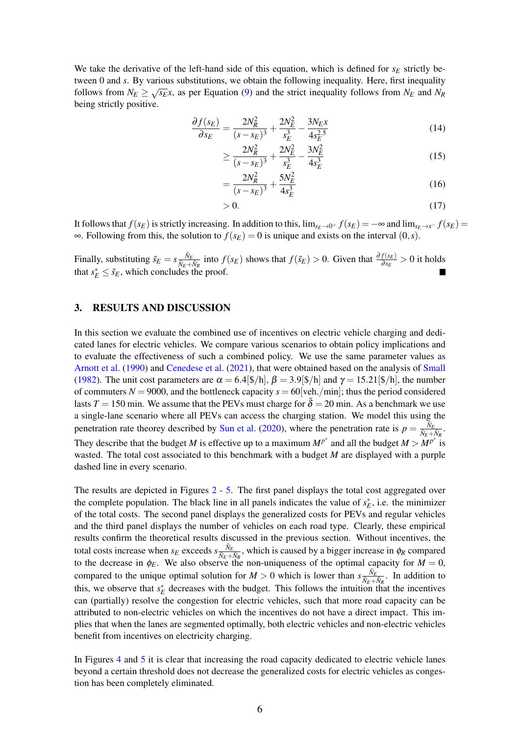We take the derivative of the left-hand side of this equation, which is defined for  $s_E$  strictly between 0 and *s*. By various substitutions, we obtain the following inequality. Here, first inequality of the state of the state of the state of the state of the state of the state of the state of the state of the state of follows from  $N_E \ge \sqrt{s_E}x$ , as per Equation [\(9\)](#page-3-5) and the strict inequality follows from  $N_E$  and  $N_R$ being strictly positive.

$$
\frac{\partial f(s_E)}{\partial s_E} = \frac{2N_R^2}{(s - s_E)^3} + \frac{2N_E^2}{s_E^3} - \frac{3N_E x}{4s_E^{2.5}}
$$
(14)

$$
\geq \frac{2N_R^2}{(s - s_E)^3} + \frac{2N_E^2}{s_E^3} - \frac{3N_E^2}{4s_E^3}
$$
(15)

$$
=\frac{2N_R^2}{(s-s_E)^3} + \frac{5N_E^2}{4s_E^3}
$$
(16)

$$
>0.\t(17)
$$

It follows that  $f(s_E)$  is strictly increasing. In addition to this,  $\lim_{s_E \to 0^+} f(s_E) = -\infty$  and  $\lim_{s_E \to s^-} f(s_E) =$  $\infty$ . Following from this, the solution to  $f(s_E) = 0$  is unique and exists on the interval  $(0, s)$ .

Finally, substituting  $\tilde{s}_E = s \frac{\hat{N}_E}{\hat{N}_E + \hat{N}_R}$  into  $f(s_E)$  shows that  $f(\tilde{s}_E) > 0$ . Given that  $\frac{\partial f(s_E)}{\partial s_E} > 0$  it holds that  $s_E^* \leq \tilde{s}_E$ , which concludes the proof.

## 3. RESULTS AND DISCUSSION

In this section we evaluate the combined use of incentives on electric vehicle charging and dedicated lanes for electric vehicles. We compare various scenarios to obtain policy implications and to evaluate the effectiveness of such a combined policy. We use the same parameter values as [Arnott et al.](#page-7-1) [\(1990\)](#page-7-1) and [Cenedese et al.](#page-8-8) [\(2021\)](#page-8-8), that were obtained based on the analysis of [Small](#page-8-13) [\(1982\)](#page-8-13). The unit cost parameters are  $\alpha = 6.4\frac{\mathcal{F}}{\hbar}$ ,  $\beta = 3.9\frac{\mathcal{F}}{\hbar}$  and  $\gamma = 15.21\frac{\mathcal{F}}{\hbar}$ , the number of commuters  $N = 9000$ , and the bottleneck capacity  $s = 60$  [veh./min]; thus the period considered lasts  $T = 150$  min. We assume that the PEVs must charge for  $\delta = 20$  min. As a benchmark we use a single-lane scenario where all PEVs can access the charging station. We model this using the penetration rate theorey described by [Sun et al.](#page-8-7) [\(2020\)](#page-8-7), where the penetration rate is  $p = \frac{\hat{N}_E}{\hat{N}_E + \hat{N}_R}$ . They describe that the budget *M* is effective up to a maximum  $M^{p^*}$  and all the budget  $M > M^{p^*}$  is wasted. The total cost associated to this benchmark with a budget *M* are displayed with a purple dashed line in every scenario.

The results are depicted in Figures [2](#page-6-0) - [5.](#page-7-5) The first panel displays the total cost aggregated over the complete population. The black line in all panels indicates the value of  $s_E^*$ , i.e. the minimizer of the total costs. The second panel displays the generalized costs for PEVs and regular vehicles and the third panel displays the number of vehicles on each road type. Clearly, these empirical results confirm the theoretical results discussed in the previous section. Without incentives, the total costs increase when  $s_E$  exceeds  $s \frac{\hat{N}_E}{\hat{N}_E + \hat{N}_R}$ , which is caused by a bigger increase in  $\phi_R$  compared to the decrease in  $\phi_E$ . We also observe the non-uniqueness of the optimal capacity for  $M = 0$ , compared to the unique optimal solution for  $M > 0$  which is lower than  $s \frac{\hat{N}_E}{\hat{N}_E + \hat{N}_R}$ . In addition to this, we observe that  $s_E^*$  decreases with the budget. This follows the intuition that the incentives can (partially) resolve the congestion for electric vehicles, such that more road capacity can be attributed to non-electric vehicles on which the incentives do not have a direct impact. This implies that when the lanes are segmented optimally, both electric vehicles and non-electric vehicles benefit from incentives on electricity charging.

In Figures [4](#page-6-1) and [5](#page-7-5) it is clear that increasing the road capacity dedicated to electric vehicle lanes beyond a certain threshold does not decrease the generalized costs for electric vehicles as congestion has been completely eliminated.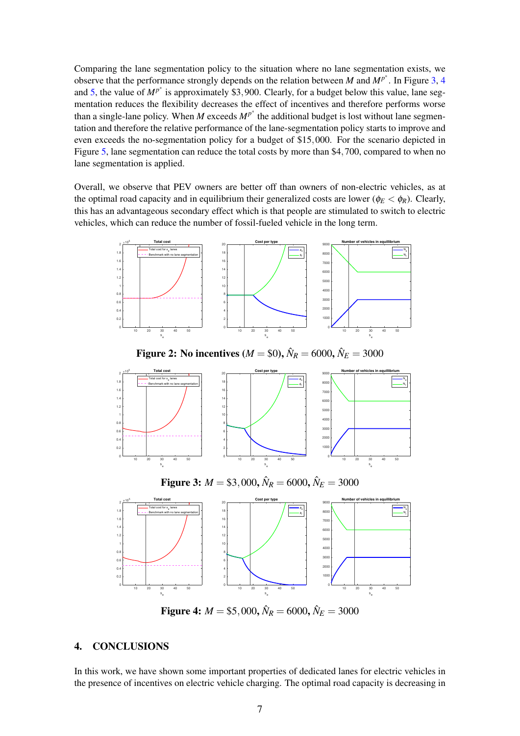Comparing the lane segmentation policy to the situation where no lane segmentation exists, we observe that the performance strongly depends on the relation between *M* and  $MP^*$ . In Figure [3,](#page-6-2) [4](#page-6-1) and [5,](#page-7-5) the value of  $M^{p^*}$  is approximately \$3,900. Clearly, for a budget below this value, lane segmentation reduces the flexibility decreases the effect of incentives and therefore performs worse than a single-lane policy. When *M* exceeds  $M^{p^*}$  the additional budget is lost without lane segmentation and therefore the relative performance of the lane-segmentation policy starts to improve and even exceeds the no-segmentation policy for a budget of \$15,000. For the scenario depicted in Figure [5,](#page-7-5) lane segmentation can reduce the total costs by more than \$4,700, compared to when no lane segmentation is applied.

Overall, we observe that PEV owners are better off than owners of non-electric vehicles, as at the optimal road capacity and in equilibrium their generalized costs are lower ( $\phi_E < \phi_R$ ). Clearly, this has an advantageous secondary effect which is that people are stimulated to switch to electric vehicles, which can reduce the number of fossil-fueled vehicle in the long term.

<span id="page-6-2"></span><span id="page-6-0"></span>

**Figure 4:**  $M = $5,000, \hat{N}_R = 6000, \hat{N}_E = 3000$ 

s e s e

## 4. CONCLUSIONS

<span id="page-6-1"></span>s e

In this work, we have shown some important properties of dedicated lanes for electric vehicles in the presence of incentives on electric vehicle charging. The optimal road capacity is decreasing in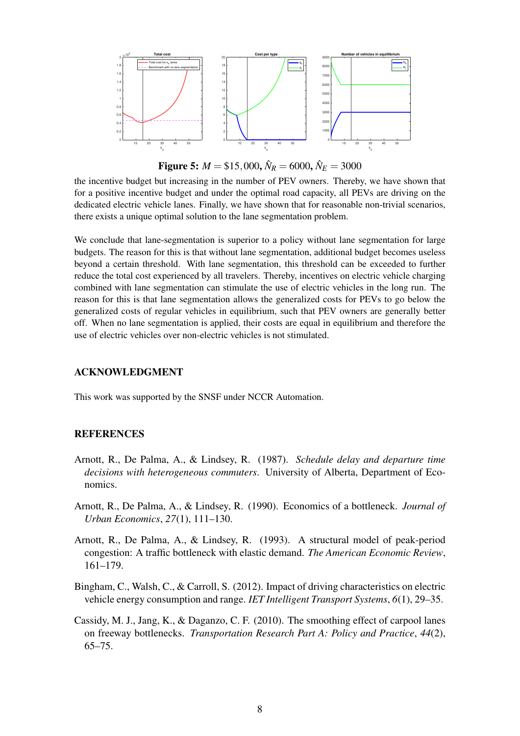<span id="page-7-5"></span>

**Figure 5:**  $M = $15,000, \hat{N}_R = 6000, \hat{N}_E = 3000$ 

the incentive budget but increasing in the number of PEV owners. Thereby, we have shown that for a positive incentive budget and under the optimal road capacity, all PEVs are driving on the dedicated electric vehicle lanes. Finally, we have shown that for reasonable non-trivial scenarios, there exists a unique optimal solution to the lane segmentation problem.

We conclude that lane-segmentation is superior to a policy without lane segmentation for large budgets. The reason for this is that without lane segmentation, additional budget becomes useless beyond a certain threshold. With lane segmentation, this threshold can be exceeded to further reduce the total cost experienced by all travelers. Thereby, incentives on electric vehicle charging combined with lane segmentation can stimulate the use of electric vehicles in the long run. The reason for this is that lane segmentation allows the generalized costs for PEVs to go below the generalized costs of regular vehicles in equilibrium, such that PEV owners are generally better off. When no lane segmentation is applied, their costs are equal in equilibrium and therefore the use of electric vehicles over non-electric vehicles is not stimulated.

## ACKNOWLEDGMENT

This work was supported by the SNSF under NCCR Automation.

## **REFERENCES**

- <span id="page-7-4"></span>Arnott, R., De Palma, A., & Lindsey, R. (1987). *Schedule delay and departure time decisions with heterogeneous commuters*. University of Alberta, Department of Economics.
- <span id="page-7-1"></span>Arnott, R., De Palma, A., & Lindsey, R. (1990). Economics of a bottleneck. *Journal of Urban Economics*, *27*(1), 111–130.
- <span id="page-7-2"></span>Arnott, R., De Palma, A., & Lindsey, R. (1993). A structural model of peak-period congestion: A traffic bottleneck with elastic demand. *The American Economic Review*, 161–179.
- <span id="page-7-0"></span>Bingham, C., Walsh, C., & Carroll, S. (2012). Impact of driving characteristics on electric vehicle energy consumption and range. *IET Intelligent Transport Systems*, *6*(1), 29–35.
- <span id="page-7-3"></span>Cassidy, M. J., Jang, K., & Daganzo, C. F. (2010). The smoothing effect of carpool lanes on freeway bottlenecks. *Transportation Research Part A: Policy and Practice*, *44*(2), 65–75.